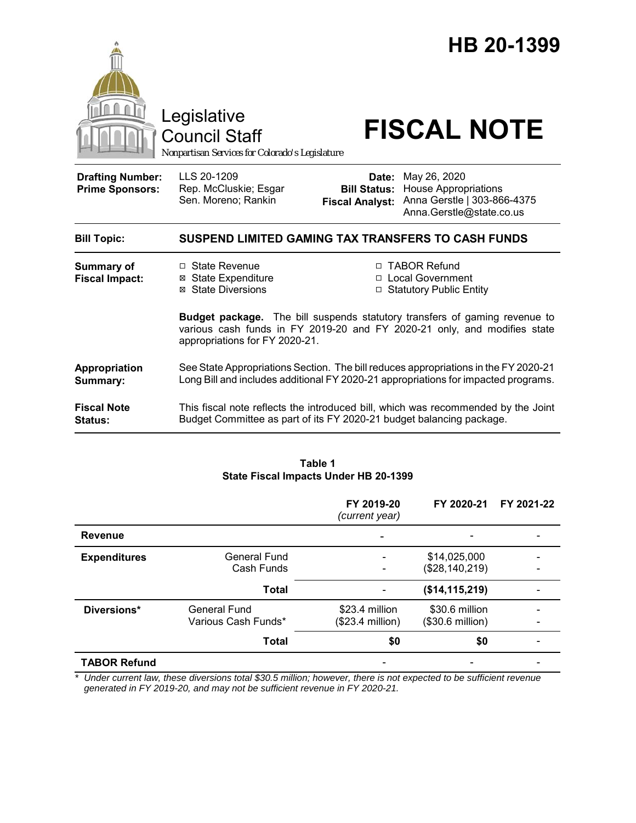

Council Staff

# Legislative<br>Council Staff **FISCAL NOTE**

*Nonpartisan Services for Colorado's Legislature*

| <b>Drafting Number:</b><br><b>Prime Sponsors:</b> | LLS 20-1209<br>Rep. McCluskie; Esgar<br>Sen. Moreno; Rankin                                                                                                               | Date:<br><b>Bill Status:</b><br><b>Fiscal Analyst:</b>                                                                                                                                                                             | May 26, 2020<br><b>House Appropriations</b><br>Anna Gerstle   303-866-4375<br>Anna.Gerstle@state.co.us |  |
|---------------------------------------------------|---------------------------------------------------------------------------------------------------------------------------------------------------------------------------|------------------------------------------------------------------------------------------------------------------------------------------------------------------------------------------------------------------------------------|--------------------------------------------------------------------------------------------------------|--|
| <b>Bill Topic:</b>                                | SUSPEND LIMITED GAMING TAX TRANSFERS TO CASH FUNDS                                                                                                                        |                                                                                                                                                                                                                                    |                                                                                                        |  |
| <b>Summary of</b><br><b>Fiscal Impact:</b>        | $\Box$ State Revenue<br>State Expenditure<br>⊠<br>⊠ State Diversions<br>appropriations for FY 2020-21.                                                                    | □ TABOR Refund<br>□ Local Government<br>□ Statutory Public Entity<br><b>Budget package.</b> The bill suspends statutory transfers of gaming revenue to<br>various cash funds in FY 2019-20 and FY 2020-21 only, and modifies state |                                                                                                        |  |
| Appropriation<br>Summary:                         | See State Appropriations Section. The bill reduces appropriations in the FY 2020-21<br>Long Bill and includes additional FY 2020-21 appropriations for impacted programs. |                                                                                                                                                                                                                                    |                                                                                                        |  |
| <b>Fiscal Note</b><br><b>Status:</b>              | This fiscal note reflects the introduced bill, which was recommended by the Joint<br>Budget Committee as part of its FY 2020-21 budget balancing package.                 |                                                                                                                                                                                                                                    |                                                                                                        |  |

#### **Table 1 State Fiscal Impacts Under HB 20-1399**

|                     |                                     | FY 2019-20<br>(current year)       | FY 2020-21                         | FY 2021-22 |
|---------------------|-------------------------------------|------------------------------------|------------------------------------|------------|
| <b>Revenue</b>      |                                     |                                    |                                    |            |
| <b>Expenditures</b> | <b>General Fund</b><br>Cash Funds   |                                    | \$14,025,000<br>(\$28,140,219)     |            |
|                     | <b>Total</b>                        |                                    | (\$14, 115, 219)                   |            |
| Diversions*         | General Fund<br>Various Cash Funds* | \$23.4 million<br>(\$23.4 million) | \$30.6 million<br>(\$30.6 million) |            |
|                     | <b>Total</b>                        | \$0                                | \$0                                |            |
| <b>TABOR Refund</b> |                                     |                                    |                                    |            |

*\* Under current law, these diversions total \$30.5 million; however, there is not expected to be sufficient revenue generated in FY 2019-20, and may not be sufficient revenue in FY 2020-21.*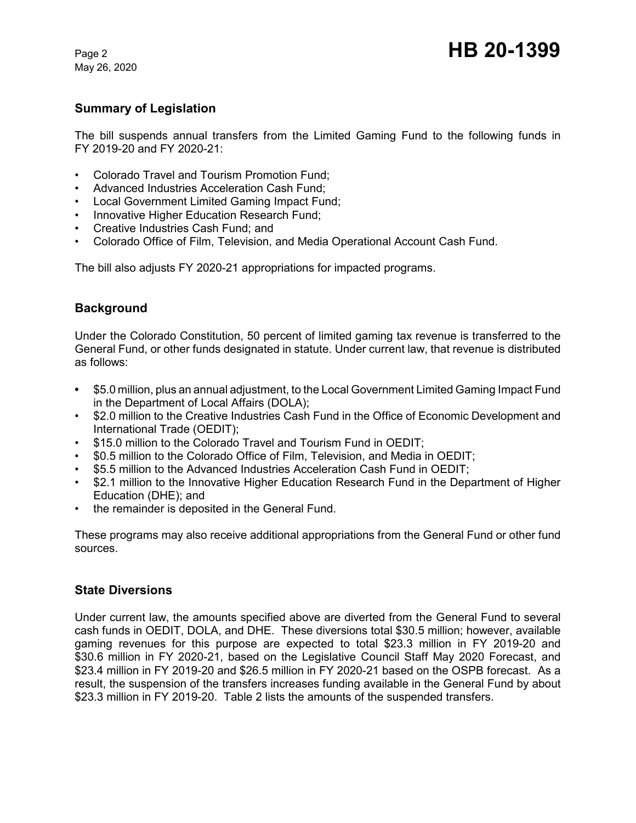May 26, 2020

# **Summary of Legislation**

The bill suspends annual transfers from the Limited Gaming Fund to the following funds in FY 2019-20 and FY 2020-21:

- Colorado Travel and Tourism Promotion Fund;
- Advanced Industries Acceleration Cash Fund;
- Local Government Limited Gaming Impact Fund;
- Innovative Higher Education Research Fund;
- Creative Industries Cash Fund; and
- Colorado Office of Film, Television, and Media Operational Account Cash Fund.

The bill also adjusts FY 2020-21 appropriations for impacted programs.

# **Background**

Under the Colorado Constitution, 50 percent of limited gaming tax revenue is transferred to the General Fund, or other funds designated in statute. Under current law, that revenue is distributed as follows:

- **•** \$5.0 million, plus an annual adjustment, to the Local Government Limited Gaming Impact Fund in the Department of Local Affairs (DOLA);
- \$2.0 million to the Creative Industries Cash Fund in the Office of Economic Development and International Trade (OEDIT);
- \$15.0 million to the Colorado Travel and Tourism Fund in OEDIT;
- \$0.5 million to the Colorado Office of Film, Television, and Media in OEDIT;
- \$5.5 million to the Advanced Industries Acceleration Cash Fund in OEDIT;
- \$2.1 million to the Innovative Higher Education Research Fund in the Department of Higher Education (DHE); and
- the remainder is deposited in the General Fund.

These programs may also receive additional appropriations from the General Fund or other fund sources.

# **State Diversions**

Under current law, the amounts specified above are diverted from the General Fund to several cash funds in OEDIT, DOLA, and DHE. These diversions total \$30.5 million; however, available gaming revenues for this purpose are expected to total \$23.3 million in FY 2019-20 and \$30.6 million in FY 2020-21, based on the Legislative Council Staff May 2020 Forecast, and \$23.4 million in FY 2019-20 and \$26.5 million in FY 2020-21 based on the OSPB forecast. As a result, the suspension of the transfers increases funding available in the General Fund by about \$23.3 million in FY 2019-20. Table 2 lists the amounts of the suspended transfers.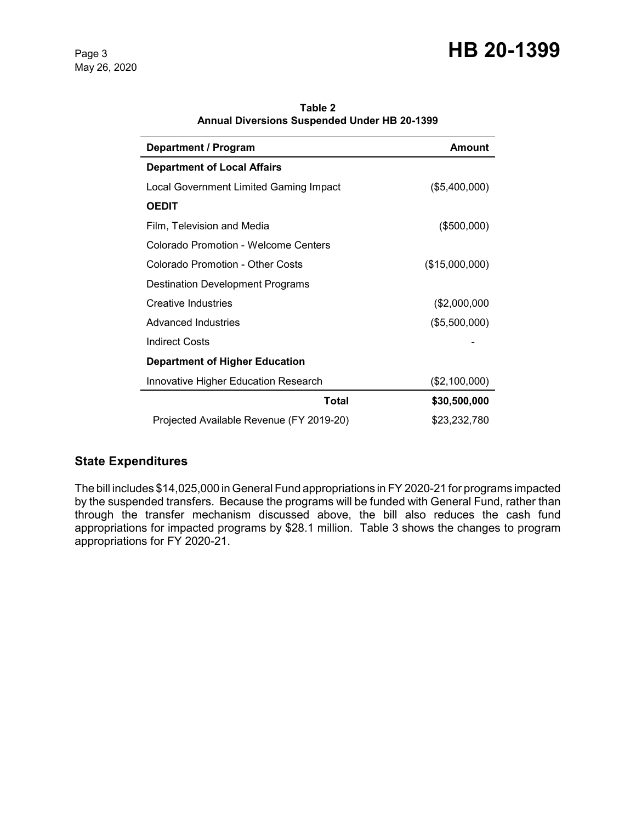# Page 3 **HB 20-1399**

May 26, 2020

| <b>Department / Program</b>                 | <b>Amount</b>  |  |
|---------------------------------------------|----------------|--|
| <b>Department of Local Affairs</b>          |                |  |
| Local Government Limited Gaming Impact      | (\$5,400,000)  |  |
| <b>OEDIT</b>                                |                |  |
| Film, Television and Media                  | $($ \$500,000) |  |
| Colorado Promotion - Welcome Centers        |                |  |
| Colorado Promotion - Other Costs            | (\$15,000,000) |  |
| <b>Destination Development Programs</b>     |                |  |
| <b>Creative Industries</b>                  | (\$2,000,000   |  |
| Advanced Industries                         | (\$5,500,000)  |  |
| <b>Indirect Costs</b>                       |                |  |
| <b>Department of Higher Education</b>       |                |  |
| <b>Innovative Higher Education Research</b> | (\$2,100,000)  |  |
| Total                                       | \$30,500,000   |  |
| Projected Available Revenue (FY 2019-20)    | \$23,232,780   |  |

**Table 2 Annual Diversions Suspended Under HB 20-1399**

# **State Expenditures**

The bill includes \$14,025,000 in General Fund appropriations in FY 2020-21 for programs impacted by the suspended transfers. Because the programs will be funded with General Fund, rather than through the transfer mechanism discussed above, the bill also reduces the cash fund appropriations for impacted programs by \$28.1 million. Table 3 shows the changes to program appropriations for FY 2020-21.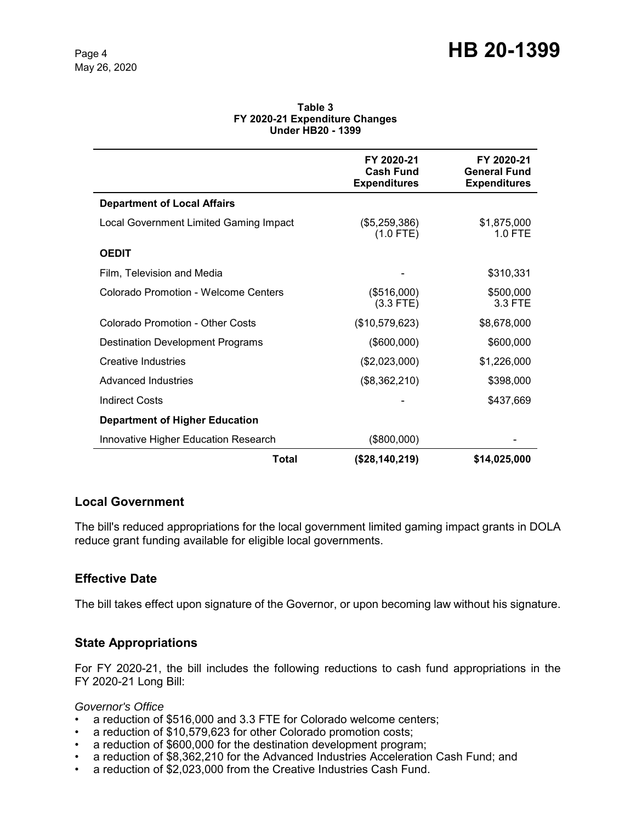| Table 3                        |  |  |  |  |
|--------------------------------|--|--|--|--|
| FY 2020-21 Expenditure Changes |  |  |  |  |
| <b>Under HB20 - 1399</b>       |  |  |  |  |

|                                        | FY 2020-21<br><b>Cash Fund</b><br><b>Expenditures</b> | FY 2020-21<br><b>General Fund</b><br><b>Expenditures</b> |
|----------------------------------------|-------------------------------------------------------|----------------------------------------------------------|
| <b>Department of Local Affairs</b>     |                                                       |                                                          |
| Local Government Limited Gaming Impact | $(\$5,259,386)$<br>$(1.0$ FTE)                        | \$1,875,000<br>$1.0$ FTE                                 |
| <b>OEDIT</b>                           |                                                       |                                                          |
| Film, Television and Media             |                                                       | \$310,331                                                |
| Colorado Promotion - Welcome Centers   | (\$516,000)<br>$(3.3$ FTE)                            | \$500,000<br>3.3 FTE                                     |
| Colorado Promotion - Other Costs       | (\$10,579,623)                                        | \$8,678,000                                              |
| Destination Development Programs       | (\$600,000)                                           | \$600,000                                                |
| Creative Industries                    | (\$2,023,000)                                         | \$1,226,000                                              |
| Advanced Industries                    | (\$8,362,210)                                         | \$398,000                                                |
| <b>Indirect Costs</b>                  |                                                       | \$437,669                                                |
| <b>Department of Higher Education</b>  |                                                       |                                                          |
| Innovative Higher Education Research   | (\$800,000)                                           |                                                          |
| Total                                  | (\$28,140,219)                                        | \$14,025,000                                             |

# **Local Government**

The bill's reduced appropriations for the local government limited gaming impact grants in DOLA reduce grant funding available for eligible local governments.

# **Effective Date**

The bill takes effect upon signature of the Governor, or upon becoming law without his signature.

# **State Appropriations**

For FY 2020-21, the bill includes the following reductions to cash fund appropriations in the FY 2020-21 Long Bill:

#### *Governor's Office*

- a reduction of \$516,000 and 3.3 FTE for Colorado welcome centers;
- a reduction of \$10,579,623 for other Colorado promotion costs;
- a reduction of \$600,000 for the destination development program;
- a reduction of \$8,362,210 for the Advanced Industries Acceleration Cash Fund; and
- a reduction of \$2,023,000 from the Creative Industries Cash Fund.